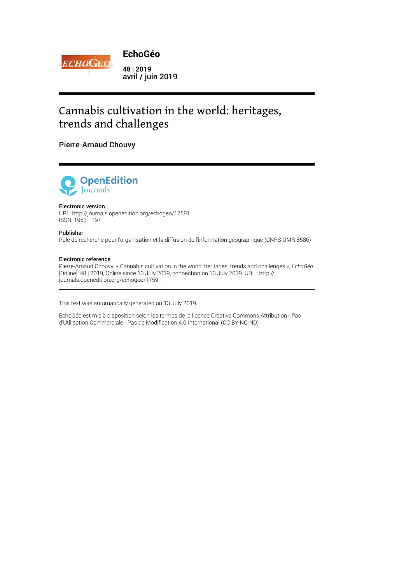

# Cannabis cultivation in the world: heritages, trends and challenges

### Pierre-Arnaud Chouvy



#### Electronic version

URL: http://journals.openedition.org/echogeo/17591 ISSN: 1963-1197

#### Publisher

Pôle de recherche pour l'organisation et la diffusion de l'information géographique (CNRS UMR 8586)

#### Electronic reference

Pierre-Arnaud Chouvy, « Cannabis cultivation in the world: heritages, trends and challenges », *EchoGéo* [Online], 48 | 2019, Online since 13 July 2019, connection on 13 July 2019. URL : http:// journals.openedition.org/echogeo/17591

This text was automatically generated on 13 July 2019.

EchoGéo est mis à disposition selon les termes de la licence Creative Commons Attribution - Pas d'Utilisation Commerciale - Pas de Modification 4.0 International (CC BY-NC-ND)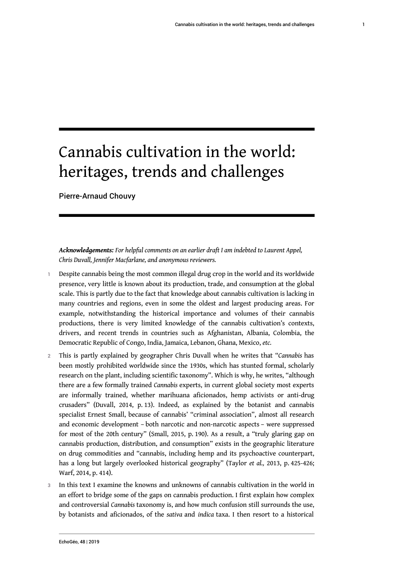# Cannabis cultivation in the world: heritages, trends and challenges

Pierre-Arnaud Chouvy

*Acknowledgements: For helpful comments on an earlier draft I am indebted to Laurent Appel, Chris Duvall, Jennifer Macfarlane, and anonymous reviewers.*

- 1 Despite cannabis being the most common illegal drug crop in the world and its worldwide presence, very little is known about its production, trade, and consumption at the global scale. This is partly due to the fact that knowledge about cannabis cultivation is lacking in many countries and regions, even in some the oldest and largest producing areas. For example, notwithstanding the historical importance and volumes of their cannabis productions, there is very limited knowledge of the cannabis cultivation's contexts, drivers, and recent trends in countries such as Afghanistan, Albania, Colombia, the Democratic Republic of Congo, India, Jamaica, Lebanon, Ghana, Mexico, *etc.*
- <sup>2</sup>This is partly explained by geographer Chris Duvall when he writes that "*Cannabis* has been mostly prohibited worldwide since the 1930s, which has stunted formal, scholarly research on the plant, including scientific taxonomy". Which is why, he writes, "although there are a few formally trained *Cannabis* experts, in current global society most experts are informally trained, whether marihuana aficionados, hemp activists or anti-drug crusaders" (Duvall, 2014, p. 13). Indeed, as explained by the botanist and cannabis specialist Ernest Small, because of cannabis' "criminal association", almost all research and economic development – both narcotic and non-narcotic aspects – were suppressed for most of the 20th century" (Small, 2015, p. 190). As a result, a "truly glaring gap on cannabis production, distribution, and consumption" exists in the geographic literature on drug commodities and "cannabis, including hemp and its psychoactive counterpart, has a long but largely overlooked historical geography" (Taylor *et al.,* 2013, p. 425-426; Warf, 2014, p. 414).
- 3 In this text I examine the knowns and unknowns of cannabis cultivation in the world in an effort to bridge some of the gaps on cannabis production. I first explain how complex and controversial *Cannabis* taxonomy is, and how much confusion still surrounds the use, by botanists and aficionados, of the *sativa* and *indica* taxa. I then resort to a historical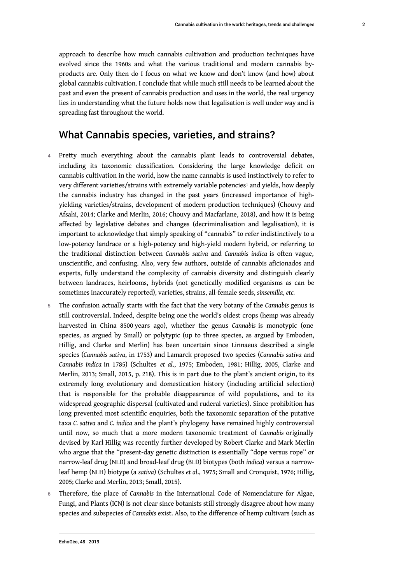approach to describe how much cannabis cultivation and production techniques have evolved since the 1960s and what the various traditional and modern cannabis byproducts are. Only then do I focus on what we know and don't know (and how) about global cannabis cultivation. I conclude that while much still needs to be learned about the past and even the present of cannabis production and uses in the world, the real urgency lies in understanding what the future holds now that legalisation is well under way and is spreading fast throughout the world.

### What Cannabis species, varieties, and strains?

- 4 Pretty much everything about the cannabis plant leads to controversial debates, including its taxonomic classification. Considering the large knowledge deficit on cannabis cultivation in the world, how the name cannabis is used instinctively to refer to very different varieties/strains with extremely variable potencies $^{\rm I}$  and yields, how deeply the cannabis industry has changed in the past years (increased importance of highyielding varieties/strains, development of modern production techniques) (Chouvy and Afsahi, 2014; Clarke and Merlin, 2016; Chouvy and Macfarlane, 2018), and how it is being affected by legislative debates and changes (decriminalisation and legalisation), it is important to acknowledge that simply speaking of "cannabis" to refer indistinctively to a low-potency landrace or a high-potency and high-yield modern hybrid, or referring to the traditional distinction between *Cannabis sativa* and *Cannabis indica* is often vague, unscientific, and confusing. Also, very few authors, outside of cannabis aficionados and experts, fully understand the complexity of cannabis diversity and distinguish clearly between landraces, heirlooms, hybrids (not genetically modified organisms as can be sometimes inaccurately reported), varieties, strains, all-female seeds, *sinsemilla*, *etc.*
- <sup>5</sup>The confusion actually starts with the fact that the very botany of the *Cannabis* genus is still controversial. Indeed, despite being one the world's oldest crops (hemp was already harvested in China 8500 years ago), whether the genus *Cannabis* is monotypic (one species, as argued by Small) or polytypic (up to three species, as argued by Emboden, Hillig, and Clarke and Merlin) has been uncertain since Linnaeus described a single species (*Cannabis sativa*, in 1753) and Lamarck proposed two species (*Cannabis sativa* and *Cannabis indica* in 1785) (Schultes *et al*., 1975; Emboden, 1981; Hillig, 2005, Clarke and Merlin, 2013; Small, 2015, p. 218). This is in part due to the plant's ancient origin, to its extremely long evolutionary and domestication history (including artificial selection) that is responsible for the probable disappearance of wild populations, and to its widespread geographic dispersal (cultivated and ruderal varieties). Since prohibition has long prevented most scientific enquiries, both the taxonomic separation of the putative taxa *C. sativa* and *C. indica* and the plant's phylogeny have remained highly controversial until now, so much that a more modern taxonomic treatment of *Cannabis* originally devised by Karl Hillig was recently further developed by Robert Clarke and Mark Merlin who argue that the "present-day genetic distinction is essentially "dope versus rope" or narrow-leaf drug (NLD) and broad-leaf drug (BLD) biotypes (both *indica*) versus a narrowleaf hemp (NLH) biotype (a *sativa*) (Schultes *et al*., 1975; Small and Cronquist, 1976; Hillig, 2005; Clarke and Merlin, 2013; Small, 2015).
- <sup>6</sup>Therefore, the place of *Cannabis* in the International Code of Nomenclature for Algae, Fungi, and Plants (ICN) is not clear since botanists still strongly disagree about how many species and subspecies of *Cannabis* exist. Also, to the difference of hemp cultivars (such as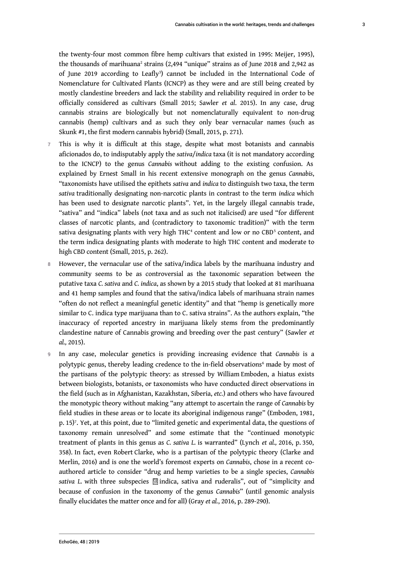the twenty-four most common fibre hemp cultivars that existed in 1995: Meijer, 1995), the thousands of marihuana<sup>2</sup> strains (2,494 "unique" strains as of June 2018 and 2,942 as of June 2019 according to Leafly<sup>3</sup>) cannot be included in the International Code of Nomenclature for Cultivated Plants (ICNCP) as they were and are still being created by mostly clandestine breeders and lack the stability and reliability required in order to be officially considered as cultivars (Small 2015; Sawler *et al*. 2015). In any case, drug cannabis strains are biologically but not nomenclaturally equivalent to non-drug cannabis (hemp) cultivars and as such they only bear vernacular names (such as Skunk #1, the first modern cannabis hybrid) (Small, 2015, p. 271).

- 7 This is why it is difficult at this stage, despite what most botanists and cannabis aficionados do, to indisputably apply the *sativa*/*indica* taxa (it is not mandatory according to the ICNCP) to the genus *Cannabis* without adding to the existing confusion. As explained by Ernest Small in his recent extensive monograph on the genus *Cannabis*, "taxonomists have utilised the epithets *sativa* and *indica* to distinguish two taxa, the term *sativa* traditionally designating non-narcotic plants in contrast to the term *indica* which has been used to designate narcotic plants". Yet, in the largely illegal cannabis trade, "sativa" and "indica" labels (not taxa and as such not italicised) are used "for different classes of narcotic plants, and (contradictory to taxonomic tradition)" with the term sativa designating plants with very high THC<sup>4</sup> content and low or no CBD<sup>5</sup> content, and the term indica designating plants with moderate to high THC content and moderate to high CBD content (Small, 2015, p. 262).
- 8 However, the vernacular use of the sativa/indica labels by the marihuana industry and community seems to be as controversial as the taxonomic separation between the putative taxa *C. sativa* and *C. indica*, as shown by a 2015 study that looked at 81 marihuana and 41 hemp samples and found that the sativa/indica labels of marihuana strain names "often do not reflect a meaningful genetic identity" and that "hemp is genetically more similar to C. indica type marijuana than to C. sativa strains". As the authors explain, "the inaccuracy of reported ancestry in marijuana likely stems from the predominantly clandestine nature of Cannabis growing and breeding over the past century" (Sawler *et al.,* 2015).
- <sup>9</sup>In any case, molecular genetics is providing increasing evidence that *Cannabis* is a polytypic genus, thereby leading credence to the in-field observations<sup>6</sup> made by most of the partisans of the polytypic theory: as stressed by William Emboden, a hiatus exists between biologists, botanists, or taxonomists who have conducted direct observations in the field (such as in Afghanistan, Kazakhstan, Siberia, *etc.*) and others who have favoured the monotypic theory without making "any attempt to ascertain the range of *Cannabis* by field studies in these areas or to locate its aboriginal indigenous range" (Emboden, 1981, p. 15)<sup>7</sup>. Yet, at this point, due to "limited genetic and experimental data, the questions of taxonomy remain unresolved" and some estimate that the "continued monotypic treatment of plants in this genus as *C. sativa L.* is warranted" (Lynch *et al.,* 2016, p. 350, 358). In fact, even Robert Clarke, who is a partisan of the polytypic theory (Clarke and Merlin, 2016) and is one the world's foremost experts on *Cannabis*, chose in a recent coauthored article to consider "drug and hemp varieties to be a single species, *Cannabis sativa L.* with three subspecies F0 2D indica, sativa and ruderalis", out of "simplicity and because of confusion in the taxonomy of the genus *Cannabis*" (until genomic analysis finally elucidates the matter once and for all) (Gray *et al.*, 2016, p. 289-290).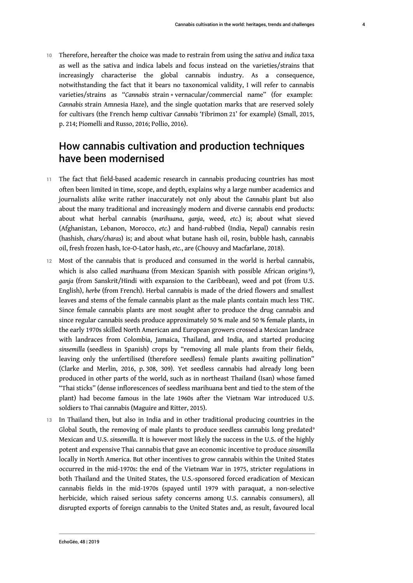<sup>10</sup>Therefore, hereafter the choice was made to restrain from using the *sativa* and *indica* taxa as well as the sativa and indica labels and focus instead on the varieties/strains that increasingly characterise the global cannabis industry. As a consequence, notwithstanding the fact that it bears no taxonomical validity, I will refer to cannabis varieties/strains as "*Cannabis* strain + vernacular/commercial name" (for example: *Cannabis* strain Amnesia Haze), and the single quotation marks that are reserved solely for cultivars (the French hemp cultivar *Cannabis* 'Fibrimon 21' for example) (Small, 2015, p. 214; Piomelli and Russo, 2016; Pollio, 2016).

# How cannabis cultivation and production techniques have been modernised

- 11 The fact that field-based academic research in cannabis producing countries has most often been limited in time, scope, and depth, explains why a large number academics and journalists alike write rather inaccurately not only about the *Cannabis* plant but also about the many traditional and increasingly modern and diverse cannabis end products: about what herbal cannabis (*marihuana*, *ganja*, weed, *etc.*) is; about what sieved (Afghanistan, Lebanon, Morocco, *etc.*) and hand-rubbed (India, Nepal) cannabis resin (hashish, *chars/charas*) is; and about what butane hash oil, rosin, bubble hash, cannabis oil, fresh frozen hash, Ice-O-Lator hash, *etc.*, are (Chouvy and Macfarlane, 2018).
- 12 Most of the cannabis that is produced and consumed in the world is herbal cannabis, which is also called *marihuana* (from Mexican Spanish with possible African origins 8 ), *ganja* (from Sanskrit/Hindi with expansion to the Caribbean), weed and pot (from U.S. English), *herbe* (from French). Herbal cannabis is made of the dried flowers and smallest leaves and stems of the female cannabis plant as the male plants contain much less THC. Since female cannabis plants are most sought after to produce the drug cannabis and since regular cannabis seeds produce approximately 50 % male and 50 % female plants, in the early 1970s skilled North American and European growers crossed a Mexican landrace with landraces from Colombia, Jamaica, Thailand, and India, and started producing *sinsemilla* (seedless in Spanish) crops by "removing all male plants from their fields, leaving only the unfertilised (therefore seedless) female plants awaiting pollination" (Clarke and Merlin, 2016, p. 308, 309). Yet seedless cannabis had already long been produced in other parts of the world, such as in northeast Thailand (Isan) whose famed "Thai sticks" (dense inflorescences of seedless marihuana bent and tied to the stem of the plant) had become famous in the late 1960s after the Vietnam War introduced U.S. soldiers to Thai cannabis (Maguire and Ritter, 2015).
- 13 In Thailand then, but also in India and in other traditional producing countries in the Global South, the removing of male plants to produce seedless cannabis long predated<sup>9</sup> Mexican and U.S. *sinsemilla*. It is however most likely the success in the U.S. of the highly potent and expensive Thai cannabis that gave an economic incentive to produce *sinsemilla* locally in North America. But other incentives to grow cannabis within the United States occurred in the mid-1970s: the end of the Vietnam War in 1975, stricter regulations in both Thailand and the United States, the U.S.-sponsored forced eradication of Mexican cannabis fields in the mid-1970s (spayed until 1979 with paraquat, a non-selective herbicide, which raised serious safety concerns among U.S. cannabis consumers), all disrupted exports of foreign cannabis to the United States and, as result, favoured local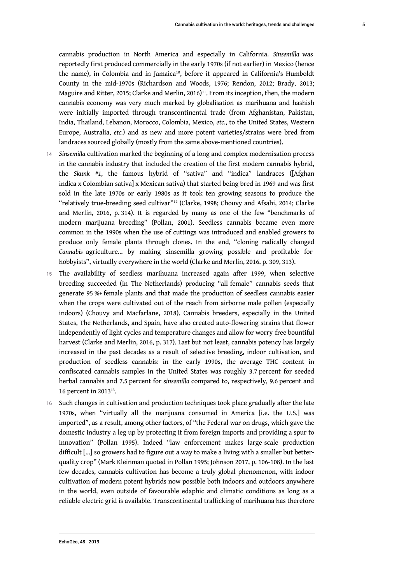cannabis production in North America and especially in California. *Sinsemilla* was reportedly first produced commercially in the early 1970s (if not earlier) in Mexico (hence the name), in Colombia and in Jamaica10, before it appeared in California's Humboldt County in the mid-1970s (Richardson and Woods, 1976; Rendon, 2012; Brady, 2013; Maguire and Ritter, 2015; Clarke and Merlin, 2016)<sup>11</sup>. From its inception, then, the modern cannabis economy was very much marked by globalisation as marihuana and hashish were initially imported through transcontinental trade (from Afghanistan, Pakistan, India, Thailand, Lebanon, Morocco, Colombia, Mexico, *etc.*, to the United States, Western Europe, Australia, *etc.*) and as new and more potent varieties/strains were bred from landraces sourced globally (mostly from the same above-mentioned countries).

- <sup>14</sup>*Sinsemilla* cultivation marked the beginning of a long and complex modernisation process in the cannabis industry that included the creation of the first modern cannabis hybrid, the *Skunk* #*1*, the famous hybrid of "sativa" and "indica" landraces ([Afghan indica x Colombian sativa] x Mexican sativa) that started being bred in 1969 and was first sold in the late 1970s or early 1980s as it took ten growing seasons to produce the "relatively true-breeding seed cultivar"<sup>12</sup> (Clarke, 1998; Chouvy and Afsahi, 2014; Clarke and Merlin, 2016, p. 314). It is regarded by many as one of the few "benchmarks of modern marijuana breeding" (Pollan, 2001). Seedless cannabis became even more common in the 1990s when the use of cuttings was introduced and enabled growers to produce only female plants through clones. In the end, "cloning radically changed *Cannabis* agriculture… by making sinsemilla growing possible and profitable for hobbyists", virtually everywhere in the world (Clarke and Merlin, 2016, p. 309, 313).
- 15 The availability of seedless marihuana increased again after 1999, when selective breeding succeeded (in The Netherlands) producing "all-female" cannabis seeds that generate 95 %+ female plants and that made the production of seedless cannabis easier when the crops were cultivated out of the reach from airborne male pollen (especially indoors) (Chouvy and Macfarlane, 2018). Cannabis breeders, especially in the United States, The Netherlands, and Spain, have also created auto-flowering strains that flower independently of light cycles and temperature changes and allow for worry-free bountiful harvest (Clarke and Merlin, 2016, p. 317). Last but not least, cannabis potency has largely increased in the past decades as a result of selective breeding, indoor cultivation, and production of seedless cannabis: in the early 1990s, the average THC content in confiscated cannabis samples in the United States was roughly 3.7 percent for seeded herbal cannabis and 7.5 percent for *sinsemilla* compared to, respectively, 9.6 percent and 16 percent in 2013<sup>13</sup> .
- 16 Such changes in cultivation and production techniques took place gradually after the late 1970s, when "virtually all the marijuana consumed in America [i.e. the U.S.] was imported", as a result, among other factors, of "the Federal war on drugs, which gave the domestic industry a leg up by protecting it from foreign imports and providing a spur to innovation" (Pollan 1995). Indeed "law enforcement makes large-scale production difficult […] so growers had to figure out a way to make a living with a smaller but betterquality crop" (Mark Kleinman quoted in Pollan 1995; Johnson 2017, p. 106-108). In the last few decades, cannabis cultivation has become a truly global phenomenon, with indoor cultivation of modern potent hybrids now possible both indoors and outdoors anywhere in the world, even outside of favourable edaphic and climatic conditions as long as a reliable electric grid is available. Transcontinental trafficking of marihuana has therefore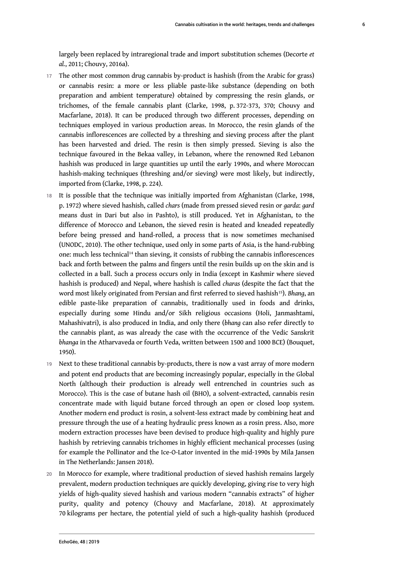largely been replaced by intraregional trade and import substitution schemes (Decorte *et al.*, 2011; Chouvy, 2016a).

- 17 The other most common drug cannabis by-product is hashish (from the Arabic for grass) or cannabis resin: a more or less pliable paste-like substance (depending on both preparation and ambient temperature) obtained by compressing the resin glands, or trichomes, of the female cannabis plant (Clarke, 1998, p. 372-373, 370; Chouvy and Macfarlane, 2018). It can be produced through two different processes, depending on techniques employed in various production areas. In Morocco, the resin glands of the cannabis inflorescences are collected by a threshing and sieving process after the plant has been harvested and dried. The resin is then simply pressed. Sieving is also the technique favoured in the Bekaa valley, in Lebanon, where the renowned Red Lebanon hashish was produced in large quantities up until the early 1990s, and where Moroccan hashish-making techniques (threshing and/or sieving) were most likely, but indirectly, imported from (Clarke, 1998, p. 224).
- 18 It is possible that the technique was initially imported from Afghanistan (Clarke, 1998, p. 1972) where sieved hashish, called *chars* (made from pressed sieved resin or *garda*: *gard* means dust in Dari but also in Pashto), is still produced. Yet in Afghanistan, to the difference of Morocco and Lebanon, the sieved resin is heated and kneaded repeatedly before being pressed and hand-rolled, a process that is now sometimes mechanised (UNODC, 2010). The other technique, used only in some parts of Asia, is the hand-rubbing one: much less technical14 than sieving, it consists of rubbing the cannabis inflorescences back and forth between the palms and fingers until the resin builds up on the skin and is collected in a ball. Such a process occurs only in India (except in Kashmir where sieved hashish is produced) and Nepal, where hashish is called *charas* (despite the fact that the word most likely originated from Persian and first referred to sieved hashish<sup>15</sup>). *Bhang*, an edible paste-like preparation of cannabis, traditionally used in foods and drinks, especially during some Hindu and/or Sikh religious occasions (Holi, Janmashtami, Mahashivatri), is also produced in India, and only there (*bhang* can also refer directly to the cannabis plant, as was already the case with the occurrence of the Vedic Sanskrit *bhanga* in the Atharvaveda or fourth Veda, written between 1500 and 1000 BCE) (Bouquet, 1950).
- 19 Next to these traditional cannabis by-products, there is now a vast array of more modern and potent end products that are becoming increasingly popular, especially in the Global North (although their production is already well entrenched in countries such as Morocco). This is the case of butane hash oil (BHO), a solvent-extracted, cannabis resin concentrate made with liquid butane forced through an open or closed loop system. Another modern end product is rosin, a solvent-less extract made by combining heat and pressure through the use of a heating hydraulic press known as a rosin press. Also, more modern extraction processes have been devised to produce high-quality and highly pure hashish by retrieving cannabis trichomes in highly efficient mechanical processes (using for example the Pollinator and the Ice-O-Lator invented in the mid-1990s by Mila Jansen in The Netherlands: Jansen 2018).
- 20 In Morocco for example, where traditional production of sieved hashish remains largely prevalent, modern production techniques are quickly developing, giving rise to very high yields of high-quality sieved hashish and various modern "cannabis extracts" of higher purity, quality and potency (Chouvy and Macfarlane, 2018). At approximately 70 kilograms per hectare, the potential yield of such a high-quality hashish (produced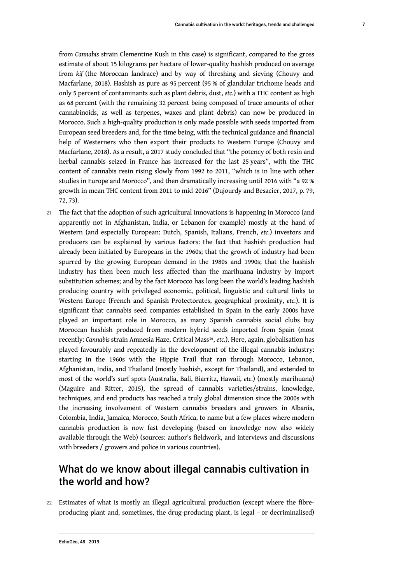from *Cannabis* strain Clementine Kush in this case) is significant, compared to the gross estimate of about 15 kilograms per hectare of lower-quality hashish produced on average from *kif* (the Moroccan landrace) and by way of threshing and sieving (Chouvy and Macfarlane, 2018). Hashish as pure as 95 percent (95 % of glandular trichome heads and only 5 percent of contaminants such as plant debris, dust, *etc.*) with a THC content as high as 68 percent (with the remaining 32 percent being composed of trace amounts of other cannabinoids, as well as terpenes, waxes and plant debris) can now be produced in Morocco. Such a high-quality production is only made possible with seeds imported from European seed breeders and, for the time being, with the technical guidance and financial help of Westerners who then export their products to Western Europe (Chouvy and Macfarlane, 2018). As a result, a 2017 study concluded that "the potency of both resin and herbal cannabis seized in France has increased for the last 25 years", with the THC content of cannabis resin rising slowly from 1992 to 2011, "which is in line with other studies in Europe and Morocco", and then dramatically increasing until 2016 with "a 92 % growth in mean THC content from 2011 to mid-2016" (Dujourdy and Besacier, 2017, p. 79, 72, 73).

21 The fact that the adoption of such agricultural innovations is happening in Morocco (and apparently not in Afghanistan, India, or Lebanon for example) mostly at the hand of Western (and especially European: Dutch, Spanish, Italians, French, *etc.*) investors and producers can be explained by various factors: the fact that hashish production had already been initiated by Europeans in the 1960s; that the growth of industry had been spurred by the growing European demand in the 1980s and 1990s; that the hashish industry has then been much less affected than the marihuana industry by import substitution schemes; and by the fact Morocco has long been the world's leading hashish producing country with privileged economic, political, linguistic and cultural links to Western Europe (French and Spanish Protectorates, geographical proximity, *etc.*). It is significant that cannabis seed companies established in Spain in the early 2000s have played an important role in Morocco, as many Spanish cannabis social clubs buy Moroccan hashish produced from modern hybrid seeds imported from Spain (most recently: *Cannabis* strain Amnesia Haze, Critical Mass<sup>16</sup> , *etc.*). Here, again, globalisation has played favourably and repeatedly in the development of the illegal cannabis industry: starting in the 1960s with the Hippie Trail that ran through Morocco, Lebanon, Afghanistan, India, and Thailand (mostly hashish, except for Thailand), and extended to most of the world's surf spots (Australia, Bali, Biarritz, Hawaii, *etc.*) (mostly marihuana) (Maguire and Ritter, 2015), the spread of cannabis varieties/strains, knowledge, techniques, and end products has reached a truly global dimension since the 2000s with the increasing involvement of Western cannabis breeders and growers in Albania, Colombia, India, Jamaica, Morocco, South Africa, to name but a few places where modern cannabis production is now fast developing (based on knowledge now also widely available through the Web) (sources: author's fieldwork, and interviews and discussions with breeders / growers and police in various countries).

# What do we know about illegal cannabis cultivation in the world and how?

22 Estimates of what is mostly an illegal agricultural production (except where the fibreproducing plant and, sometimes, the drug-producing plant, is legal – or decriminalised)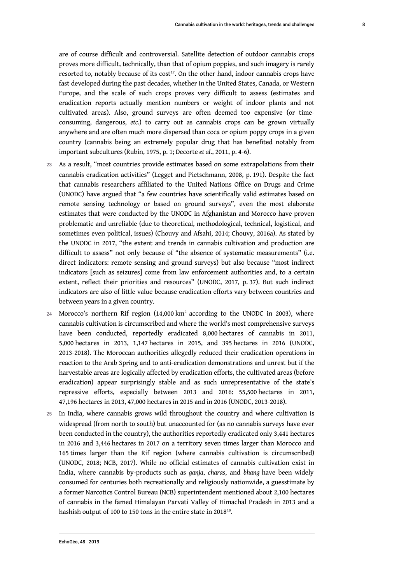are of course difficult and controversial. Satellite detection of outdoor cannabis crops proves more difficult, technically, than that of opium poppies, and such imagery is rarely resorted to, notably because of its cost<sup>17</sup>. On the other hand, indoor cannabis crops have fast developed during the past decades, whether in the United States, Canada, or Western Europe, and the scale of such crops proves very difficult to assess (estimates and eradication reports actually mention numbers or weight of indoor plants and not cultivated areas). Also, ground surveys are often deemed too expensive (or timeconsuming, dangerous, *etc.*) to carry out as cannabis crops can be grown virtually anywhere and are often much more dispersed than coca or opium poppy crops in a given country (cannabis being an extremely popular drug that has benefited notably from important subcultures (Rubin, 1975, p. 1; Decorte *et al*., 2011, p. 4-6).

- 23 As a result, "most countries provide estimates based on some extrapolations from their cannabis eradication activities" (Legget and Pietschmann, 2008, p. 191). Despite the fact that cannabis researchers affiliated to the United Nations Office on Drugs and Crime (UNODC) have argued that "a few countries have scientifically valid estimates based on remote sensing technology or based on ground surveys", even the most elaborate estimates that were conducted by the UNODC in Afghanistan and Morocco have proven problematic and unreliable (due to theoretical, methodological, technical, logistical, and sometimes even political, issues) (Chouvy and Afsahi, 2014; Chouvy, 2016a). As stated by the UNODC in 2017, "the extent and trends in cannabis cultivation and production are difficult to assess" not only because of "the absence of systematic measurements" (i.e. direct indicators: remote sensing and ground surveys) but also because "most indirect indicators [such as seizures] come from law enforcement authorities and, to a certain extent, reflect their priorities and resources" (UNODC, 2017, p. 37). But such indirect indicators are also of little value because eradication efforts vary between countries and between years in a given country.
- $24$  Morocco's northern Rif region (14,000 km<sup>2</sup> according to the UNODC in 2003), where cannabis cultivation is circumscribed and where the world's most comprehensive surveys have been conducted, reportedly eradicated 8,000 hectares of cannabis in 2011, 5,000 hectares in 2013, 1,147 hectares in 2015, and 395 hectares in 2016 (UNODC, 2013-2018). The Moroccan authorities allegedly reduced their eradication operations in reaction to the Arab Spring and to anti-eradication demonstrations and unrest but if the harvestable areas are logically affected by eradication efforts, the cultivated areas (before eradication) appear surprisingly stable and as such unrepresentative of the state's repressive efforts, especially between 2013 and 2016: 55,500 hectares in 2011, 47,196 hectares in 2013, 47,000 hectares in 2015 and in 2016 (UNODC, 2013-2018).
- 25 In India, where cannabis grows wild throughout the country and where cultivation is widespread (from north to south) but unaccounted for (as no cannabis surveys have ever been conducted in the country), the authorities reportedly eradicated only 3,441 hectares in 2016 and 3,446 hectares in 2017 on a territory seven times larger than Morocco and 165 times larger than the Rif region (where cannabis cultivation is circumscribed) (UNODC, 2018; NCB, 2017). While no official estimates of cannabis cultivation exist in India, where cannabis by-products such as *ganja*, *charas*, and *bhang* have been widely consumed for centuries both recreationally and religiously nationwide, a guesstimate by a former Narcotics Control Bureau (NCB) superintendent mentioned about 2,100 hectares of cannabis in the famed Himalayan Parvati Valley of Himachal Pradesh in 2013 and a hashish output of 100 to 150 tons in the entire state in 2018 $^{18}$ .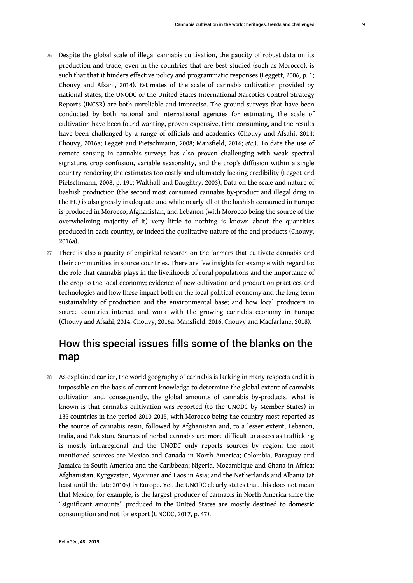- 26 Despite the global scale of illegal cannabis cultivation, the paucity of robust data on its production and trade, even in the countries that are best studied (such as Morocco), is such that that it hinders effective policy and programmatic responses (Leggett, 2006, p. 1; Chouvy and Afsahi, 2014). Estimates of the scale of cannabis cultivation provided by national states, the UNODC or the United States International Narcotics Control Strategy Reports (INCSR) are both unreliable and imprecise. The ground surveys that have been conducted by both national and international agencies for estimating the scale of cultivation have been found wanting, proven expensive, time consuming, and the results have been challenged by a range of officials and academics (Chouvy and Afsahi, 2014; Chouvy, 2016a; Legget and Pietschmann, 2008; Mansfield, 2016; *etc.*). To date the use of remote sensing in cannabis surveys has also proven challenging with weak spectral signature, crop confusion, variable seasonality, and the crop's diffusion within a single country rendering the estimates too costly and ultimately lacking credibility (Legget and Pietschmann, 2008, p. 191; Walthall and Daughtry, 2003). Data on the scale and nature of hashish production (the second most consumed cannabis by-product and illegal drug in the EU) is also grossly inadequate and while nearly all of the hashish consumed in Europe is produced in Morocco, Afghanistan, and Lebanon (with Morocco being the source of the overwhelming majority of it) very little to nothing is known about the quantities produced in each country, or indeed the qualitative nature of the end products (Chouvy, 2016a).
- 27 There is also a paucity of empirical research on the farmers that cultivate cannabis and their communities in source countries. There are few insights for example with regard to: the role that cannabis plays in the livelihoods of rural populations and the importance of the crop to the local economy; evidence of new cultivation and production practices and technologies and how these impact both on the local political-economy and the long term sustainability of production and the environmental base; and how local producers in source countries interact and work with the growing cannabis economy in Europe (Chouvy and Afsahi, 2014; Chouvy, 2016a; Mansfield, 2016; Chouvy and Macfarlane, 2018).

# How this special issues fills some of the blanks on the map

28 As explained earlier, the world geography of cannabis is lacking in many respects and it is impossible on the basis of current knowledge to determine the global extent of cannabis cultivation and, consequently, the global amounts of cannabis by-products. What is known is that cannabis cultivation was reported (to the UNODC by Member States) in 135 countries in the period 2010-2015, with Morocco being the country most reported as the source of cannabis resin, followed by Afghanistan and, to a lesser extent, Lebanon, India, and Pakistan. Sources of herbal cannabis are more difficult to assess as trafficking is mostly intraregional and the UNODC only reports sources by region: the most mentioned sources are Mexico and Canada in North America; Colombia, Paraguay and Jamaica in South America and the Caribbean; Nigeria, Mozambique and Ghana in Africa; Afghanistan, Kyrgyzstan, Myanmar and Laos in Asia; and the Netherlands and Albania (at least until the late 2010s) in Europe. Yet the UNODC clearly states that this does not mean that Mexico, for example, is the largest producer of cannabis in North America since the "significant amounts" produced in the United States are mostly destined to domestic consumption and not for export (UNODC, 2017, p. 47).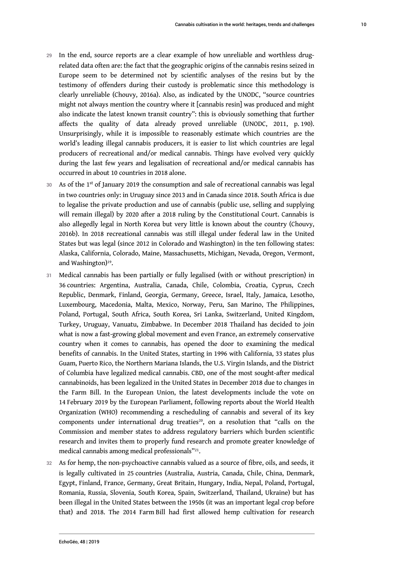- 29 In the end, source reports are a clear example of how unreliable and worthless drugrelated data often are: the fact that the geographic origins of the cannabis resins seized in Europe seem to be determined not by scientific analyses of the resins but by the testimony of offenders during their custody is problematic since this methodology is clearly unreliable (Chouvy, 2016a). Also, as indicated by the UNODC, "source countries might not always mention the country where it [cannabis resin] was produced and might also indicate the latest known transit country": this is obviously something that further affects the quality of data already proved unreliable (UNODC, 2011, p. 190). Unsurprisingly, while it is impossible to reasonably estimate which countries are the world's leading illegal cannabis producers, it is easier to list which countries are legal producers of recreational and/or medical cannabis. Things have evolved very quickly during the last few years and legalisation of recreational and/or medical cannabis has occurred in about 10 countries in 2018 alone.
- $30$  As of the 1st of January 2019 the consumption and sale of recreational cannabis was legal in two countries only: in Uruguay since 2013 and in Canada since 2018. South Africa is due to legalise the private production and use of cannabis (public use, selling and supplying will remain illegal) by 2020 after a 2018 ruling by the Constitutional Court. Cannabis is also allegedly legal in North Korea but very little is known about the country (Chouvy, 2016b). In 2018 recreational cannabis was still illegal under federal law in the United States but was legal (since 2012 in Colorado and Washington) in the ten following states: Alaska, California, Colorado, Maine, Massachusetts, Michigan, Nevada, Oregon, Vermont, and Washington)<sup>19</sup> .
- 31 Medical cannabis has been partially or fully legalised (with or without prescription) in 36 countries: Argentina, Australia, Canada, Chile, Colombia, Croatia, Cyprus, Czech Republic, Denmark, Finland, Georgia, Germany, Greece, Israel, Italy, Jamaica, Lesotho, Luxembourg, Macedonia, Malta, Mexico, Norway, Peru, San Marino, The Philippines, Poland, Portugal, South Africa, South Korea, Sri Lanka, Switzerland, United Kingdom, Turkey, Uruguay, Vanuatu, Zimbabwe. In December 2018 Thailand has decided to join what is now a fast-growing global movement and even France, an extremely conservative country when it comes to cannabis, has opened the door to examining the medical benefits of cannabis. In the United States, starting in 1996 with California, 33 states plus Guam, Puerto Rico, the Northern Mariana Islands, the U.S. Virgin Islands, and the District of Columbia have legalized medical cannabis. CBD, one of the most sought-after medical cannabinoids, has been legalized in the United States in December 2018 due to changes in the Farm Bill. In the European Union, the latest developments include the vote on 14 February 2019 by the European Parliament, following reports about the World Health Organization (WHO) recommending a rescheduling of cannabis and several of its key components under international drug treaties $^{20}$ , on a resolution that "calls on the Commission and member states to address regulatory barriers which burden scientific research and invites them to properly fund research and promote greater knowledge of medical cannabis among medical professionals"<sup>21</sup> .
- 32 As for hemp, the non-psychoactive cannabis valued as a source of fibre, oils, and seeds, it is legally cultivated in 25 countries (Australia, Austria, Canada, Chile, China, Denmark, Egypt, Finland, France, Germany, Great Britain, Hungary, India, Nepal, Poland, Portugal, Romania, Russia, Slovenia, South Korea, Spain, Switzerland, Thailand, Ukraine) but has been illegal in the United States between the 1950s (it was an important legal crop before that) and 2018. The 2014 Farm Bill had first allowed hemp cultivation for research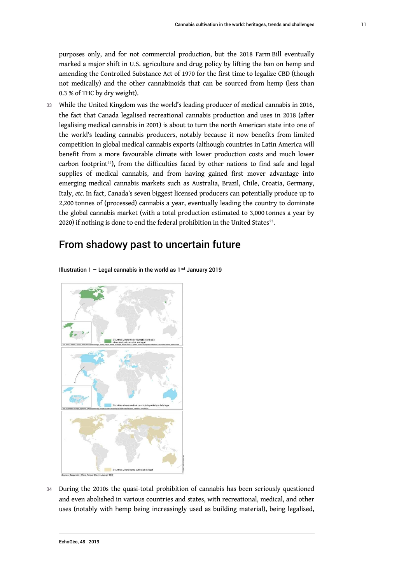purposes only, and for not commercial production, but the 2018 Farm Bill eventually marked a major shift in U.S. agriculture and drug policy by lifting the ban on hemp and amending the Controlled Substance Act of 1970 for the first time to legalize CBD (though not medically) and the other cannabinoids that can be sourced from hemp (less than 0.3 % of THC by dry weight).

33 While the United Kingdom was the world's leading producer of medical cannabis in 2016, the fact that Canada legalised recreational cannabis production and uses in 2018 (after legalising medical cannabis in 2001) is about to turn the north American state into one of the world's leading cannabis producers, notably because it now benefits from limited competition in global medical cannabis exports (although countries in Latin America will benefit from a more favourable climate with lower production costs and much lower carbon footprint<sup>22</sup>), from the difficulties faced by other nations to find safe and legal supplies of medical cannabis, and from having gained first mover advantage into emerging medical cannabis markets such as Australia, Brazil, Chile, Croatia, Germany, Italy, *etc.* In fact, Canada's seven biggest licensed producers can potentially produce up to 2,200 tonnes of (processed) cannabis a year, eventually leading the country to dominate the global cannabis market (with a total production estimated to 3,000 tonnes a year by 2020) if nothing is done to end the federal prohibition in the United States $^{23}$ .

### From shadowy past to uncertain future

Illustration  $1 -$  Legal cannabis in the world as  $1<sup>rst</sup>$  January 2019



34 During the 2010s the quasi-total prohibition of cannabis has been seriously questioned and even abolished in various countries and states, with recreational, medical, and other uses (notably with hemp being increasingly used as building material), being legalised,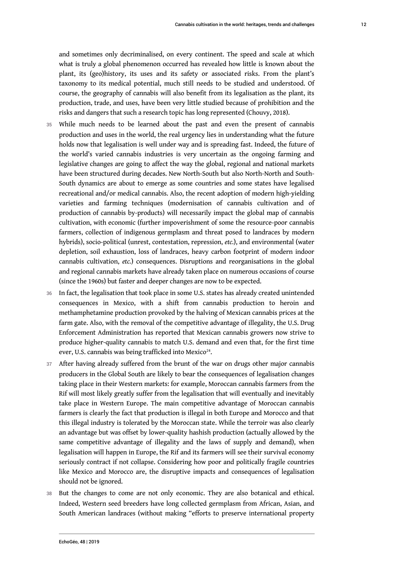and sometimes only decriminalised, on every continent. The speed and scale at which what is truly a global phenomenon occurred has revealed how little is known about the plant, its (geo)history, its uses and its safety or associated risks. From the plant's taxonomy to its medical potential, much still needs to be studied and understood. Of course, the geography of cannabis will also benefit from its legalisation as the plant, its production, trade, and uses, have been very little studied because of prohibition and the risks and dangers that such a research topic has long represented (Chouvy, 2018).

- 35 While much needs to be learned about the past and even the present of cannabis production and uses in the world, the real urgency lies in understanding what the future holds now that legalisation is well under way and is spreading fast. Indeed, the future of the world's varied cannabis industries is very uncertain as the ongoing farming and legislative changes are going to affect the way the global, regional and national markets have been structured during decades. New North-South but also North-North and South-South dynamics are about to emerge as some countries and some states have legalised recreational and/or medical cannabis. Also, the recent adoption of modern high-yielding varieties and farming techniques (modernisation of cannabis cultivation and of production of cannabis by-products) will necessarily impact the global map of cannabis cultivation, with economic (further impoverishment of some the resource-poor cannabis farmers, collection of indigenous germplasm and threat posed to landraces by modern hybrids), socio-political (unrest, contestation, repression, *etc.*), and environmental (water depletion, soil exhaustion, loss of landraces, heavy carbon footprint of modern indoor cannabis cultivation, *etc.*) consequences. Disruptions and reorganisations in the global and regional cannabis markets have already taken place on numerous occasions of course (since the 1960s) but faster and deeper changes are now to be expected.
- In fact, the legalisation that took place in some U.S. states has already created unintended consequences in Mexico, with a shift from cannabis production to heroin and methamphetamine production provoked by the halving of Mexican cannabis prices at the farm gate. Also, with the removal of the competitive advantage of illegality, the U.S. Drug Enforcement Administration has reported that Mexican cannabis growers now strive to produce higher-quality cannabis to match U.S. demand and even that, for the first time ever, U.S. cannabis was being trafficked into Mexico<sup>24</sup>.
- 37 After having already suffered from the brunt of the war on drugs other major cannabis producers in the Global South are likely to bear the consequences of legalisation changes taking place in their Western markets: for example, Moroccan cannabis farmers from the Rif will most likely greatly suffer from the legalisation that will eventually and inevitably take place in Western Europe. The main competitive advantage of Moroccan cannabis farmers is clearly the fact that production is illegal in both Europe and Morocco and that this illegal industry is tolerated by the Moroccan state. While the terroir was also clearly an advantage but was offset by lower-quality hashish production (actually allowed by the same competitive advantage of illegality and the laws of supply and demand), when legalisation will happen in Europe, the Rif and its farmers will see their survival economy seriously contract if not collapse. Considering how poor and politically fragile countries like Mexico and Morocco are, the disruptive impacts and consequences of legalisation should not be ignored.
- 38 But the changes to come are not only economic. They are also botanical and ethical. Indeed, Western seed breeders have long collected germplasm from African, Asian, and South American landraces (without making "efforts to preserve international property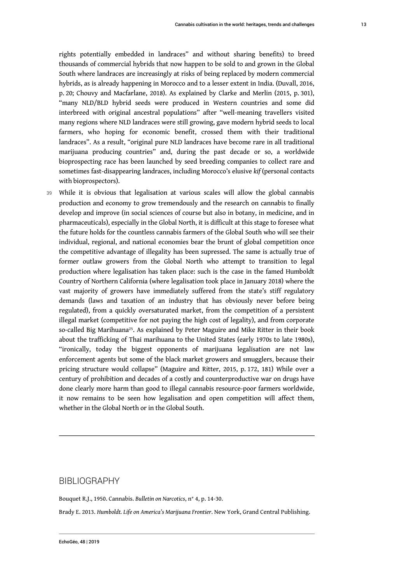rights potentially embedded in landraces" and without sharing benefits) to breed thousands of commercial hybrids that now happen to be sold to and grown in the Global South where landraces are increasingly at risks of being replaced by modern commercial hybrids, as is already happening in Morocco and to a lesser extent in India. (Duvall, 2016, p. 20; Chouvy and Macfarlane, 2018). As explained by Clarke and Merlin (2015, p. 301), "many NLD/BLD hybrid seeds were produced in Western countries and some did interbreed with original ancestral populations" after "well-meaning travellers visited many regions where NLD landraces were still growing, gave modern hybrid seeds to local farmers, who hoping for economic benefit, crossed them with their traditional landraces". As a result, "original pure NLD landraces have become rare in all traditional marijuana producing countries" and, during the past decade or so, a worldwide bioprospecting race has been launched by seed breeding companies to collect rare and sometimes fast-disappearing landraces, including Morocco's elusive *kif* (personal contacts with bioprospectors).

39 While it is obvious that legalisation at various scales will allow the global cannabis production and economy to grow tremendously and the research on cannabis to finally develop and improve (in social sciences of course but also in botany, in medicine, and in pharmaceuticals), especially in the Global North, it is difficult at this stage to foresee what the future holds for the countless cannabis farmers of the Global South who will see their individual, regional, and national economies bear the brunt of global competition once the competitive advantage of illegality has been supressed. The same is actually true of former outlaw growers from the Global North who attempt to transition to legal production where legalisation has taken place: such is the case in the famed Humboldt Country of Northern California (where legalisation took place in January 2018) where the vast majority of growers have immediately suffered from the state's stiff regulatory demands (laws and taxation of an industry that has obviously never before being regulated), from a quickly oversaturated market, from the competition of a persistent illegal market (competitive for not paying the high cost of legality), and from corporate so-called Big Marihuana<sup>25</sup>. As explained by Peter Maguire and Mike Ritter in their book about the trafficking of Thai marihuana to the United States (early 1970s to late 1980s), "ironically, today the biggest opponents of marijuana legalisation are not law enforcement agents but some of the black market growers and smugglers, because their pricing structure would collapse" (Maguire and Ritter, 2015, p. 172, 181) While over a century of prohibition and decades of a costly and counterproductive war on drugs have done clearly more harm than good to illegal cannabis resource-poor farmers worldwide, it now remains to be seen how legalisation and open competition will affect them, whether in the Global North or in the Global South.

### BIBLIOGRAPHY

Bouquet R.J., 1950. Cannabis. *Bulletin on Narcotics*, n° 4, p. 14-30.

Brady E. 2013. *Humboldt. Life on America's Marijuana Frontier*. New York, Grand Central Publishing.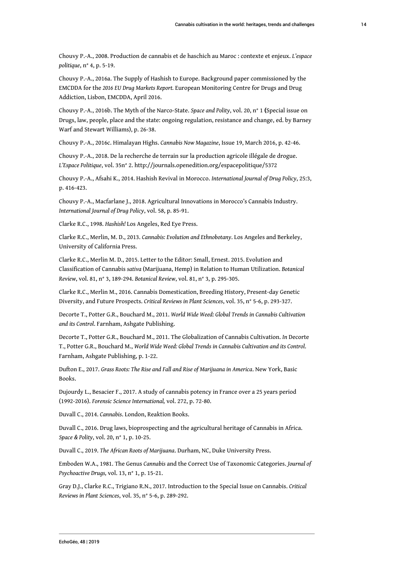Chouvy P.-A., 2008. Production de cannabis et de haschich au Maroc : contexte et enjeux. *L'espace politique*, n° 4, p. 5-19.

Chouvy P.-A., 2016a. The Supply of Hashish to Europe. Background paper commissioned by the EMCDDA for the *2016 EU Drug Markets Report.* European Monitoring Centre for Drugs and Drug Addiction, Lisbon, EMCDDA, April 2016.

Chouvy P.-A., 2016b. The Myth of the Narco-State. *Space and Polity*, vol. 20, n° 1 **(**Special issue on Drugs, law, people, place and the state: ongoing regulation, resistance and change, ed. by Barney Warf and Stewart Williams), p. 26-38.

Chouvy P.-A., 2016c. Himalayan Highs. *Cannabis Now Magazine*, Issue 19, March 2016, p. 42-46.

Chouvy P.-A., 2018. De la recherche de terrain sur la production agricole illégale de drogue. *L'Espace Politique*, vol. 35n° 2. http://journals.openedition.org/espacepolitique/5372

Chouvy P.-A., Afsahi K., 2014. Hashish Revival in Morocco. *International Journal of Drug Policy*, 25:3, p. 416-423.

Chouvy P.-A., Macfarlane J., 2018. Agricultural Innovations in Morocco's Cannabis Industry. *International Journal of Drug Policy*, vol. 58, p. 85-91.

Clarke R.C., 1998. *Hashish!* Los Angeles, Red Eye Press.

Clarke R.C., Merlin, M. D., 2013. *Cannabis: Evolution and Ethnobotany*. Los Angeles and Berkeley, University of California Press.

Clarke R.C., Merlin M. D., 2015. Letter to the Editor: Small, Ernest. 2015. Evolution and Classification of Cannabis *sativa* (Marijuana, Hemp) in Relation to Human Utilization. *Botanical Review*, vol. 81, n° 3, 189-294. *Botanical Review*, vol. 81, n° 3, p. 295-305.

Clarke R.C., Merlin M., 2016. Cannabis Domestication, Breeding History, Present-day Genetic Diversity, and Future Prospects. *Critical Reviews in Plant Sciences*, vol. 35, n° 5-6, p. 293-327.

Decorte T., Potter G.R., Bouchard M., 2011. *World Wide Weed: Global Trends in Cannabis Cultivation and its Control*. Farnham, Ashgate Publishing.

Decorte T., Potter G.R., Bouchard M., 2011. The Globalization of Cannabis Cultivation. *In* Decorte T., Potter G.R., Bouchard M., *World Wide Weed: Global Trends in Cannabis Cultivation and its Control*. Farnham, Ashgate Publishing, p. 1-22.

Dufton E., 2017. *Grass Roots: The Rise and Fall and Rise of Marijuana in America*. New York, Basic Books.

Dujourdy L., Besacier F., 2017. A study of cannabis potency in France over a 25 years period (1992-2016). *Forensic Science International,* vol. 272, p. 72-80.

Duvall C., 2014. *Cannabis*. London, Reaktion Books.

Duvall C., 2016. Drug laws, bioprospecting and the agricultural heritage of Cannabis in Africa. *Space & Polity*, vol. 20, n° 1, p. 10-25.

Duvall C., 2019. *The African Roots of Marijuana*. Durham, NC, Duke University Press.

Emboden W.A., 1981. The Genus *Cannabis* and the Correct Use of Taxonomic Categories. *Journal of Psychoactive Drugs,* vol. 13, n° 1, p. 15-21.

Gray D.J., Clarke R.C., Trigiano R.N., 2017. Introduction to the Special Issue on Cannabis. *Critical Reviews in Plant Sciences*, vol. 35, n° 5-6, p. 289-292.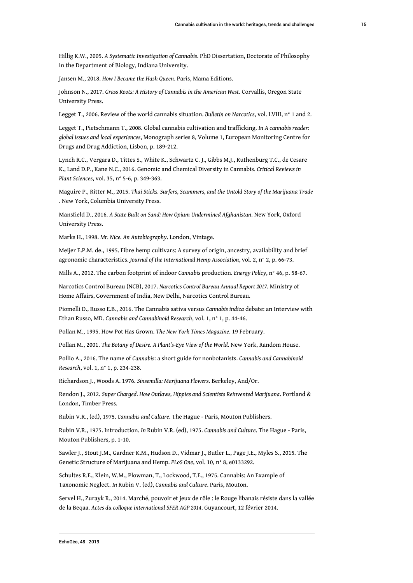Hillig K.W., 2005. *A Systematic Investigation of Cannabis*. PhD Dissertation, Doctorate of Philosophy in the Department of Biology, Indiana University.

Jansen M., 2018. *How I Became the Hash Queen*. Paris, Mama Editions.

Johnson N., 2017. *Grass Roots: A History of Cannabis in the American West*. Corvallis, Oregon State University Press.

Legget T., 2006. Review of the world cannabis situation. *Bulletin on Narcotics*, vol. LVIII, n° 1 and 2.

Legget T., Pietschmann T., 2008. Global cannabis cultivation and trafficking. *In A cannabis reader: global issues and local experiences*, Monograph series 8, Volume 1, European Monitoring Centre for Drugs and Drug Addiction, Lisbon, p. 189-212.

Lynch R.C., Vergara D., Tittes S., White K., Schwartz C. J., Gibbs M.J., Ruthenburg T.C., de Cesare K., Land D.P., Kane N.C., 2016. Genomic and Chemical Diversity in Cannabis. *Critical Reviews in Plant Sciences*, vol. 35, n° 5-6, p. 349-363.

Maguire P., Ritter M., 2015. *Thai Sticks. Surfers, Scammers, and the Untold Story of the Marijuana Trade* . New York, Columbia University Press.

Mansfield D., 2016. *A State Built on Sand: How Opium Undermined Afghanistan*. New York, Oxford University Press.

Marks H., 1998. *Mr. Nice. An Autobiography*. London, Vintage.

Meijer E.P.M. de., 1995. Fibre hemp cultivars: A survey of origin, ancestry, availability and brief agronomic characteristics. *Journal of the International Hemp Association*, vol. 2, n° 2, p. 66-73.

Mills A., 2012. The carbon footprint of indoor *Cannabis* production. *Energy Policy*, n° 46, p. 58-67.

Narcotics Control Bureau (NCB), 2017. *Narcotics Control Bureau Annual Report 2017*. Ministry of Home Affairs, Government of India, New Delhi, Narcotics Control Bureau.

Piomelli D., Russo E.B., 2016. The Cannabis sativa versus *Cannabis indica* debate: an Interview with Ethan Russo, MD. *Cannabis and Cannabinoid Research*, vol. 1, n° 1, p. 44-46.

Pollan M., 1995. How Pot Has Grown. *The New York Times Magazine*. 19 February.

Pollan M., 2001. *The Botany of Desire. A Plant's-Eye View of the World*. New York, Random House.

Pollio A., 2016. The name of *Cannabis*: a short guide for nonbotanists. *Cannabis and Cannabinoid Research*, vol. 1, n° 1, p. 234-238.

Richardson J., Woods A. 1976. *Sinsemilla: Marijuana Flowers*. Berkeley, And/Or.

Rendon J., 2012. *Super Charged. How Outlaws, Hippies and Scientists Reinvented Marijuana*. Portland & London, Timber Press.

Rubin V.R., (ed), 1975. *Cannabis and Culture*. The Hague - Paris, Mouton Publishers.

Rubin V.R., 1975. Introduction. *In* Rubin V.R. (ed), 1975. *Cannabis and Culture*. The Hague - Paris, Mouton Publishers, p. 1-10.

Sawler J., Stout J.M., Gardner K.M., Hudson D., Vidmar J., Butler L., Page J.E., Myles S., 2015. The Genetic Structure of Marijuana and Hemp. *PLoS One*, vol. 10, n° 8, e0133292.

Schultes R.E., Klein, W.M., Plowman, T., Lockwood, T.E., 1975. Cannabis: An Example of Taxonomic Neglect. *In* Rubin V. (ed), *Cannabis and Culture*. Paris, Mouton.

Servel H., Zurayk R., 2014. Marché, pouvoir et jeux de rôle : le Rouge libanais résiste dans la vallée de la Beqaa. *Actes du colloque international SFER AGP 2014*. Guyancourt, 12 février 2014.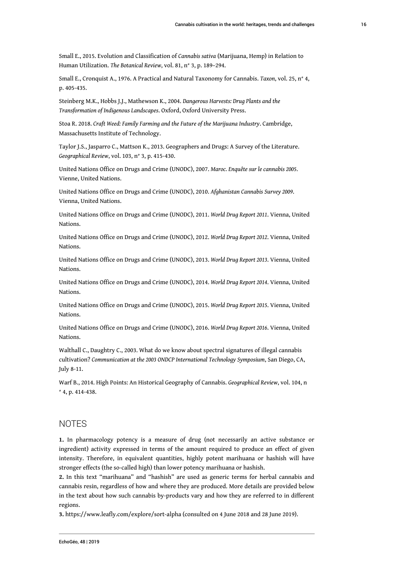Small E., 2015. Evolution and Classification of *Cannabis sativa* (Marijuana, Hemp) in Relation to Human Utilization. *The Botanical Review*, vol. 81, n° 3, p. 189–294.

Small E., Cronquist A., 1976. A Practical and Natural Taxonomy for Cannabis. *Taxon*, vol. 25, n° 4, p. 405-435.

Steinberg M.K., Hobbs J.J., Mathewson K., 2004. *Dangerous Harvests: Drug Plants and the Transformation of Indigenous Landscapes*. Oxford, Oxford University Press.

Stoa R. 2018. *Craft Weed: Family Farming and the Future of the Marijuana Industry*. Cambridge, Massachusetts Institute of Technology.

Taylor J.S., Jasparro C., Mattson K., 2013. Geographers and Drugs: A Survey of the Literature. *Geographical Review*, vol. 103, n° 3, p. 415-430.

United Nations Office on Drugs and Crime (UNODC), 2007. *Maroc. Enquête sur le cannabis 2005*. Vienne, United Nations.

United Nations Office on Drugs and Crime (UNODC), 2010. *Afghanistan Cannabis Survey 2009*. Vienna, United Nations.

United Nations Office on Drugs and Crime (UNODC), 2011. *World Drug Report 2011*. Vienna, United Nations.

United Nations Office on Drugs and Crime (UNODC), 2012. *World Drug Report 2012*. Vienna, United Nations.

United Nations Office on Drugs and Crime (UNODC), 2013. *World Drug Report 2013*. Vienna, United Nations.

United Nations Office on Drugs and Crime (UNODC), 2014. *World Drug Report 2014*. Vienna, United Nations.

United Nations Office on Drugs and Crime (UNODC), 2015. *World Drug Report 2015*. Vienna, United Nations.

United Nations Office on Drugs and Crime (UNODC), 2016. *World Drug Report 2016*. Vienna, United Nations.

Walthall C., Daughtry C., 2003. What do we know about spectral signatures of illegal cannabis cultivation? *Communication at the 2003 ONDCP International Technology Symposium*, San Diego, CA, July 8-11.

Warf B., 2014. High Points: An Historical Geography of Cannabis. *Geographical Review*, vol. 104, n ° 4, p. 414-438.

### **NOTES**

**1.** In pharmacology potency is a measure of drug (not necessarily an active substance or ingredient) activity expressed in terms of the amount required to produce an effect of given intensity. Therefore, in equivalent quantities, highly potent marihuana or hashish will have stronger effects (the so-called high) than lower potency marihuana or hashish.

**2.** In this text "marihuana" and "hashish" are used as generic terms for herbal cannabis and cannabis resin, regardless of how and where they are produced. More details are provided below in the text about how such cannabis by-products vary and how they are referred to in different regions.

**3.** https://www.leafly.com/explore/sort-alpha (consulted on 4 June 2018 and 28 June 2019).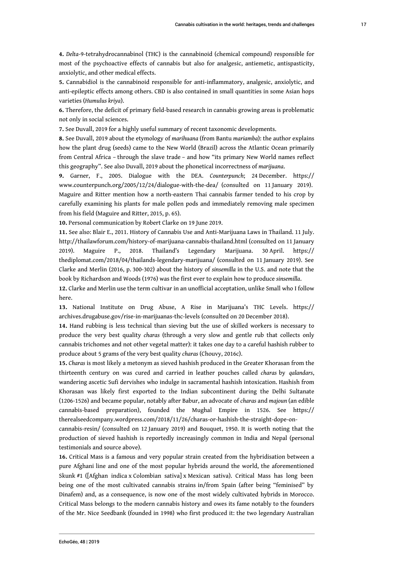**4.** *Delta*-9-tetrahydrocannabinol (THC) is the cannabinoid (chemical compound) responsible for most of the psychoactive effects of cannabis but also for analgesic, antiemetic, antispasticity, anxiolytic, and other medical effects.

**5.** Cannabidiol is the cannabinoid responsible for anti-inflammatory, analgesic, anxiolytic, and anti-epileptic effects among others. CBD is also contained in small quantities in some Asian hops varieties (*Humulus kriya*).

**6.** Therefore, the deficit of primary field-based research in cannabis growing areas is problematic not only in social sciences.

**7.** See Duvall, 2019 for a highly useful summary of recent taxonomic developments.

**8.** See Duvall, 2019 about the etymology of *marihuana* (from Bantu *mariamba*): the author explains how the plant drug (seeds) came to the New World (Brazil) across the Atlantic Ocean primarily from Central Africa – through the slave trade – and how "its primary New World names reflect this geography". See also Duvall, 2019 about the phonetical incorrectness of *marijuana*.

**9.** Garner, F., 2005. Dialogue with the DEA. *Counterpunch*; 24 December. https:// www.counterpunch.org/2005/12/24/dialogue-with-the-dea/ (consulted on 11 January 2019). Maguire and Ritter mention how a north-eastern Thai cannabis farmer tended to his crop by carefully examining his plants for male pollen pods and immediately removing male specimen from his field (Maguire and Ritter, 2015, p. 65).

**10.** Personal communication by Robert Clarke on 19 June 2019.

**11.** See also: Blair E., 2011. History of Cannabis Use and Anti-Marijuana Laws in Thailand. 11 July. http://thailawforum.com/history-of-marijuana-cannabis-thailand.html (consulted on 11 January 2019). Maguire P., 2018. Thailand's Legendary Marijuana. 30 April. https:// thediplomat.com/2018/04/thailands-legendary-marijuana/ (consulted on 11 January 2019). See Clarke and Merlin (2016, p. 300-302) about the history of *sinsemilla* in the U.S. and note that the book by Richardson and Woods (1976) was the first ever to explain how to produce *sinsemilla*.

**12.** Clarke and Merlin use the term cultivar in an unofficial acceptation, unlike Small who I follow here.

**13.** National Institute on Drug Abuse, A Rise in Marijuana's THC Levels. https:// archives.drugabuse.gov/rise-in-marijuanas-thc-levels (consulted on 20 December 2018).

**14.** Hand rubbing is less technical than sieving but the use of skilled workers is necessary to produce the very best quality *charas* (through a very slow and gentle rub that collects only cannabis trichomes and not other vegetal matter): it takes one day to a careful hashish rubber to produce about 5 grams of the very best quality *charas* (Chouvy, 2016c).

**15.** *Charas* is most likely a metonym as sieved hashish produced in the Greater Khorasan from the thirteenth century on was cured and carried in leather pouches called *charas* by *qalandars*, wandering ascetic Sufi dervishes who indulge in sacramental hashish intoxication. Hashish from Khorasan was likely first exported to the Indian subcontinent during the Delhi Sultanate (1206-1526) and became popular, notably after Babur, an advocate of *charas* and *majoun* (an edible cannabis-based preparation), founded the Mughal Empire in 1526. See https:// therealseedcompany.wordpress.com/2018/11/26/charas-or-hashish-the-straight-dope-on-

cannabis-resin/ (consulted on 12 January 2019) and Bouquet, 1950. It is worth noting that the production of sieved hashish is reportedly increasingly common in India and Nepal (personal testimonials and source above).

**16.** Critical Mass is a famous and very popular strain created from the hybridisation between a pure Afghani line and one of the most popular hybrids around the world, the aforementioned Skunk #1 ([Afghan indica x Colombian sativa] x Mexican sativa). Critical Mass has long been being one of the most cultivated cannabis strains in/from Spain (after being "feminised" by Dinafem) and, as a consequence, is now one of the most widely cultivated hybrids in Morocco. Critical Mass belongs to the modern cannabis history and owes its fame notably to the founders of the Mr. Nice Seedbank (founded in 1998) who first produced it: the two legendary Australian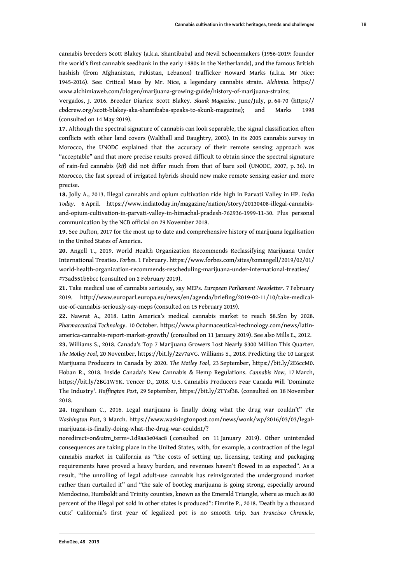cannabis breeders Scott Blakey (a.k.a. Shantibaba) and Nevil Schoenmakers (1956-2019: founder the world's first cannabis seedbank in the early 1980s in the Netherlands), and the famous British hashish (from Afghanistan, Pakistan, Lebanon) trafficker Howard Marks (a.k.a. Mr Nice: 1945-2016). See: Critical Mass by Mr. Nice, a legendary cannabis strain. *Alchimia*. https:// www.alchimiaweb.com/blogen/marijuana-growing-guide/history-of-marijuana-strains;

Vergados, J. 2016. Breeder Diaries: Scott Blakey. *Skunk Magazine*. June/July, p. 64-70 (https:// cbdcrew.org/scott-blakey-aka-shantibaba-speaks-to-skunk-magazine); and Marks 1998 (consulted on 14 May 2019).

**17.** Although the spectral signature of cannabis can look separable, the signal classification often conflicts with other land covers (Walthall and Daughtry, 2003). In its 2005 cannabis survey in Morocco, the UNODC explained that the accuracy of their remote sensing approach was "acceptable" and that more precise results proved difficult to obtain since the spectral signature of rain-fed cannabis (*kif*) did not differ much from that of bare soil (UNODC, 2007, p. 36). In Morocco, the fast spread of irrigated hybrids should now make remote sensing easier and more precise.

**18.** Jolly A., 2013. Illegal cannabis and opium cultivation ride high in Parvati Valley in HP. *India Today*. 6 April. https://www.indiatoday.in/magazine/nation/story/20130408-illegal-cannabisand-opium-cultivation-in-parvati-valley-in-himachal-pradesh-762936-1999-11-30. Plus personal communication by the NCB official on 29 November 2018.

**19.** See Dufton, 2017 for the most up to date and comprehensive history of marijuana legalisation in the United States of America.

**20.** Angell T., 2019. World Health Organization Recommends Reclassifying Marijuana Under International Treaties. *Forbes*. 1 February. https://www.forbes.com/sites/tomangell/2019/02/01/ world-health-organization-recommends-rescheduling-marijuana-under-international-treaties/ #73ad551b6bcc (consulted on 2 February 2019).

**21.** Take medical use of cannabis seriously, say MEPs. *European Parliament Newsletter*. 7 February 2019. http://www.europarl.europa.eu/news/en/agenda/briefing/2019-02-11/10/take-medicaluse-of-cannabis-seriously-say-meps (consulted on 15 February 2019).

**22.** Nawrat A., 2018. Latin America's medical cannabis market to reach \$8.5bn by 2028. *Pharmaceutical Technology*. 10 October. https://www.pharmaceutical-technology.com/news/latinamerica-cannabis-report-market-growth/ (consulted on 11 January 2019). See also Mills E., 2012. **23.** Williams S., 2018. Canada's Top 7 Marijuana Growers Lost Nearly \$300 Million This Quarter. *The Motley Fool*, 20 November, https://bit.ly/2zv7aVG. Williams S., 2018. Predicting the 10 Largest Marijuana Producers in Canada by 2020. *The Motley Fool*, 23 September, https://bit.ly/2E6ccM0. Hoban R., 2018. Inside Canada's New Cannabis & Hemp Regulations. *Cannabis Now,* 17 March, https://bit.ly/2BG1WYK. Tencer D., 2018. U.S. Cannabis Producers Fear Canada Will 'Dominate The Industry'. *Huffington Post*, 29 September, https://bit.ly/2TYsf38. (consulted on 18 November 2018.

**24.** Ingraham C., 2016. Legal marijuana is finally doing what the drug war couldn't" *The Washington Post*, 3 March. https://www.washingtonpost.com/news/wonk/wp/2016/03/03/legalmarijuana-is-finally-doing-what-the-drug-war-couldnt/?

noredirect=on&utm\_term=.1d9aa3e04ac8 ( consulted on 11 January 2019). Other unintended consequences are taking place in the United States, with, for example, a contraction of the legal cannabis market in California as "the costs of setting up, licensing, testing and packaging requirements have proved a heavy burden, and revenues haven't flowed in as expected". As a result, "the unrolling of legal adult-use cannabis has reinvigorated the underground market rather than curtailed it" and "the sale of bootleg marijuana is going strong, especially around Mendocino, Humboldt and Trinity counties, known as the Emerald Triangle, where as much as 80 percent of the illegal pot sold in other states is produced": Fimrite P., 2018. 'Death by a thousand cuts:' California's first year of legalized pot is no smooth trip. *San Francisco Chronicle*,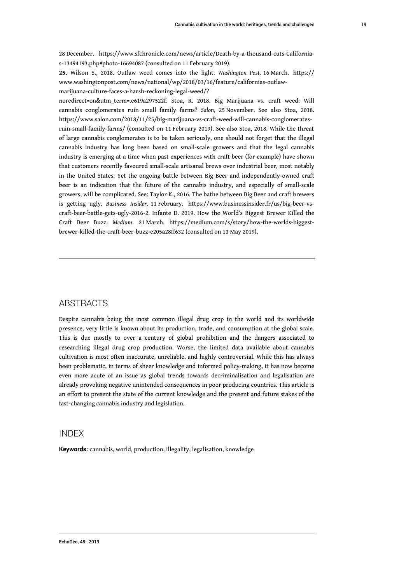28 December. https://www.sfchronicle.com/news/article/Death-by-a-thousand-cuts-Californias-13494193.php#photo-16694087 (consulted on 11 February 2019).

**25.** Wilson S., 2018. Outlaw weed comes into the light. *Washington Post,* 16 March. https:// www.washingtonpost.com/news/national/wp/2018/03/16/feature/californias-outlawmarijuana-culture-faces-a-harsh-reckoning-legal-weed/?

noredirect=on&utm\_term=.e619a297522f. Stoa, R. 2018. Big Marijuana vs. craft weed: Will cannabis conglomerates ruin small family farms? *Salon*, 25 November. See also Stoa, 2018. https://www.salon.com/2018/11/25/big-marijuana-vs-craft-weed-will-cannabis-conglomeratesruin-small-family-farms/ (consulted on 11 February 2019). See also Stoa, 2018. While the threat of large cannabis conglomerates is to be taken seriously, one should not forget that the illegal cannabis industry has long been based on small-scale growers and that the legal cannabis industry is emerging at a time when past experiences with craft beer (for example) have shown that customers recently favoured small-scale artisanal brews over industrial beer, most notably in the United States. Yet the ongoing battle between Big Beer and independently-owned craft beer is an indication that the future of the cannabis industry, and especially of small-scale growers, will be complicated. See: Taylor K., 2016. The bathe between Big Beer and craft brewers is getting ugly. *Business Insider,* 11 February. https://www.businessinsider.fr/us/big-beer-vscraft-beer-battle-gets-ugly-2016-2. Infante D. 2019. How the World's Biggest Brewer Killed the Craft Beer Buzz. *Medium*. 21 March. https://medium.com/s/story/how-the-worlds-biggestbrewer-killed-the-craft-beer-buzz-e205a28ff632 (consulted on 13 May 2019).

#### **ABSTRACTS**

Despite cannabis being the most common illegal drug crop in the world and its worldwide presence, very little is known about its production, trade, and consumption at the global scale. This is due mostly to over a century of global prohibition and the dangers associated to researching illegal drug crop production. Worse, the limited data available about cannabis cultivation is most often inaccurate, unreliable, and highly controversial. While this has always been problematic, in terms of sheer knowledge and informed policy-making, it has now become even more acute of an issue as global trends towards decriminalisation and legalisation are already provoking negative unintended consequences in poor producing countries. This article is an effort to present the state of the current knowledge and the present and future stakes of the fast-changing cannabis industry and legislation.

#### INDEX

**Keywords:** cannabis, world, production, illegality, legalisation, knowledge